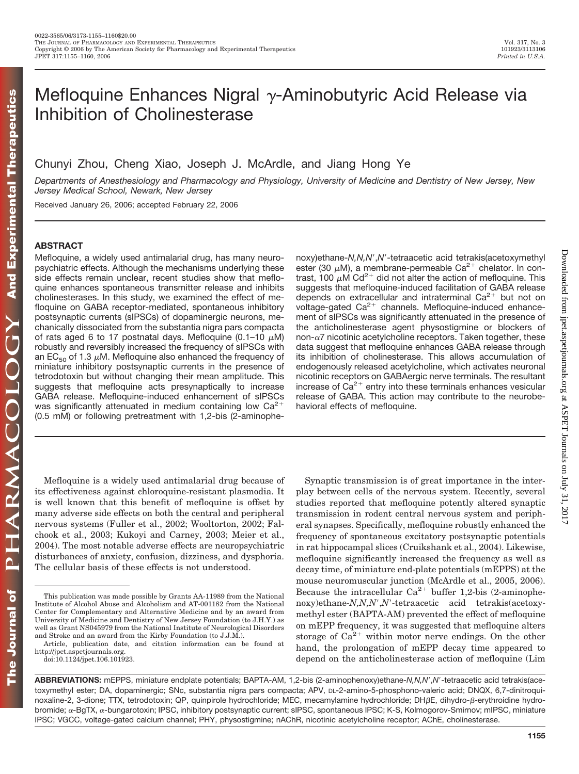# Mefloquine Enhances Nigral  $\gamma$ -Aminobutyric Acid Release via Inhibition of Cholinesterase

Chunyi Zhou, Cheng Xiao, Joseph J. McArdle, and Jiang Hong Ye

*Departments of Anesthesiology and Pharmacology and Physiology, University of Medicine and Dentistry of New Jersey, New Jersey Medical School, Newark, New Jersey*

Received January 26, 2006; accepted February 22, 2006

# **ABSTRACT**

Mefloquine, a widely used antimalarial drug, has many neuropsychiatric effects. Although the mechanisms underlying these side effects remain unclear, recent studies show that mefloquine enhances spontaneous transmitter release and inhibits cholinesterases. In this study, we examined the effect of mefloquine on GABA receptor-mediated, spontaneous inhibitory postsynaptic currents (sIPSCs) of dopaminergic neurons, mechanically dissociated from the substantia nigra pars compacta of rats aged 6 to 17 postnatal days. Mefloquine (0.1-10  $\mu$ M) robustly and reversibly increased the frequency of sIPSCs with an EC $_{50}$  of 1.3  $\mu$ M. Mefloquine also enhanced the frequency of miniature inhibitory postsynaptic currents in the presence of tetrodotoxin but without changing their mean amplitude. This suggests that mefloquine acts presynaptically to increase GABA release. Mefloquine-induced enhancement of sIPSCs was significantly attenuated in medium containing low  $Ca^{2+}$ (0.5 mM) or following pretreatment with 1,2-bis (2-aminophe-

Mefloquine is a widely used antimalarial drug because of its effectiveness against chloroquine-resistant plasmodia. It is well known that this benefit of mefloquine is offset by many adverse side effects on both the central and peripheral nervous systems (Fuller et al., 2002; Wooltorton, 2002; Falchook et al., 2003; Kukoyi and Carney, 2003; Meier et al., 2004). The most notable adverse effects are neuropsychiatric disturbances of anxiety, confusion, dizziness, and dysphoria. The cellular basis of these effects is not understood.

noxy)ethane-*N,N,N*-,*N*--tetraacetic acid tetrakis(acetoxymethyl ester (30  $\mu$ M), a membrane-permeable Ca<sup>2+</sup> chelator. In contrast, 100  $\mu$ M Cd<sup>2+</sup> did not alter the action of mefloquine. This suggests that mefloquine-induced facilitation of GABA release depends on extracellular and intraterminal  $Ca^{2+}$  but not on voltage-gated  $Ca^{2+}$  channels. Mefloquine-induced enhancement of sIPSCs was significantly attenuated in the presence of the anticholinesterase agent physostigmine or blockers of non- $\alpha$ 7 nicotinic acetylcholine receptors. Taken together, these data suggest that mefloquine enhances GABA release through its inhibition of cholinesterase. This allows accumulation of endogenously released acetylcholine, which activates neuronal nicotinic receptors on GABAergic nerve terminals. The resultant increase of  $Ca^{2+}$  entry into these terminals enhances vesicular release of GABA. This action may contribute to the neurobehavioral effects of mefloquine.

Synaptic transmission is of great importance in the interplay between cells of the nervous system. Recently, several studies reported that mefloquine potently altered synaptic transmission in rodent central nervous system and peripheral synapses. Specifically, mefloquine robustly enhanced the frequency of spontaneous excitatory postsynaptic potentials in rat hippocampal slices (Cruikshank et al., 2004). Likewise, mefloquine significantly increased the frequency as well as decay time, of miniature end-plate potentials (mEPPS) at the mouse neuromuscular junction (McArdle et al., 2005, 2006). Because the intracellular  $Ca^{2+}$  buffer 1,2-bis (2-aminophenoxy)ethane-*N,N,N',N'*-tetraacetic acid tetrakis(acetoxymethyl ester (BAPTA-AM) prevented the effect of mefloquine on mEPP frequency, it was suggested that mefloquine alters storage of  $Ca^{2+}$  within motor nerve endings. On the other hand, the prolongation of mEPP decay time appeared to depend on the anticholinesterase action of mefloquine (Lim Downloaded from [jpet.aspetjournals.org](http://jpet.aspetjournals.org/) at ASPET Journals on July 31, 2017

Downloaded from ipet.aspetjournals.org at ASPET Journals on July 31, 2017

This publication was made possible by Grants AA-11989 from the National Institute of Alcohol Abuse and Alcoholism and AT-001182 from the National Center for Complementary and Alternative Medicine and by an award from University of Medicine and Dentistry of New Jersey Foundation (to J.H.Y.) as well as Grant NS045979 from the National Institute of Neurological Disorders and Stroke and an award from the Kirby Foundation (to J.J.M.).

Article, publication date, and citation information can be found at http://jpet.aspetjournals.org.

doi:10.1124/jpet.106.101923.

**ABBREVIATIONS:** mEPPS, miniature endplate potentials; BAPTA-AM, 1,2-bis (2-aminophenoxy)ethane-*N,N,N*-,*N*--tetraacetic acid tetrakis(acetoxymethyl ester; DA, dopaminergic; SNc, substantia nigra pars compacta; APV, DL-2-amino-5-phosphono-valeric acid; DNQX, 6,7-dinitroquinoxaline-2, 3-dione; TTX, tetrodotoxin; QP, quinpirole hydrochloride; MEC, mecamylamine hydrochloride; DHßE, dihydro-ß-erythroidine hydrobromide; α-BgTX, α-bungarotoxin; IPSC, inhibitory postsynaptic current; sIPSC, spontaneous IPSC; K-S, Kolmogorov-Smirnov; mIPSC, miniature IPSC; VGCC, voltage-gated calcium channel; PHY, physostigmine; nAChR, nicotinic acetylcholine receptor; AChE, cholinesterase.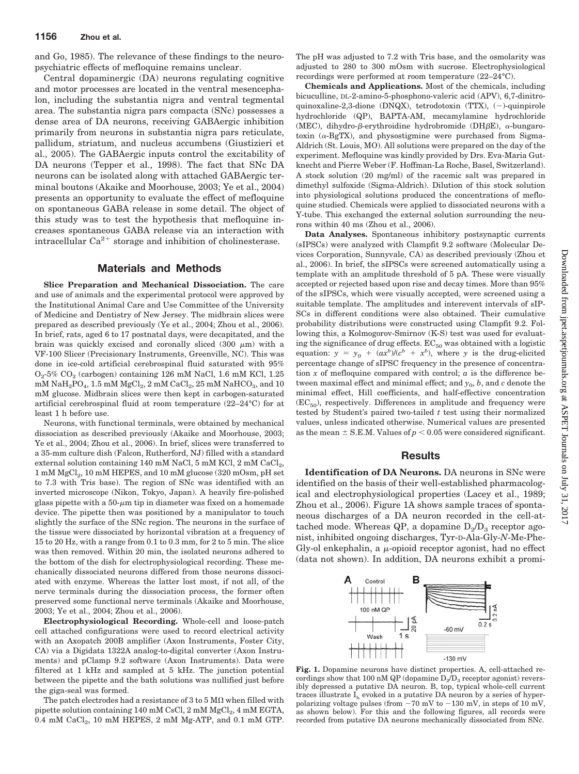and Go, 1985). The relevance of these findings to the neuropsychiatric effects of mefloquine remains unclear.

Central dopaminergic (DA) neurons regulating cognitive and motor processes are located in the ventral mesencephalon, including the substantia nigra and ventral tegmental area. The substantia nigra pars compacta (SNc) possesses a dense area of DA neurons, receiving GABAergic inhibition primarily from neurons in substantia nigra pars reticulate, pallidum, striatum, and nucleus accumbens (Giustizieri et al., 2005). The GABAergic inputs control the excitability of DA neurons (Tepper et al., 1998). The fact that SNc DA neurons can be isolated along with attached GABAergic terminal boutons (Akaike and Moorhouse, 2003; Ye et al., 2004) presents an opportunity to evaluate the effect of mefloquine on spontaneous GABA release in some detail. The object of this study was to test the hypothesis that mefloquine increases spontaneous GABA release via an interaction with intracellular  $Ca^{2+}$  storage and inhibition of cholinesterase.

# **Materials and Methods**

**Slice Preparation and Mechanical Dissociation.** The care and use of animals and the experimental protocol were approved by the Institutional Animal Care and Use Committee of the University of Medicine and Dentistry of New Jersey. The midbrain slices were prepared as described previously (Ye et al., 2004; Zhou et al., 2006). In brief, rats, aged 6 to 17 postnatal days, were decapitated, and the brain was quickly excised and coronally sliced  $(300 \mu m)$  with a VF-100 Slicer (Precisionary Instruments, Greenville, NC). This was done in ice-cold artificial cerebrospinal fluid saturated with 95%  $O<sub>2</sub>$ -5%  $CO<sub>2</sub>$  (carbogen) containing 126 mM NaCl, 1.6 mM KCl, 1.25  $mM NaH<sub>2</sub>PO<sub>4</sub>, 1.5 mM MgCl<sub>2</sub>, 2 mM CaCl<sub>2</sub>, 25 mM NaHCO<sub>3</sub>, and 10$ mM glucose. Midbrain slices were then kept in carbogen-saturated artificial cerebrospinal fluid at room temperature (22–24°C) for at least 1 h before use.

Neurons, with functional terminals, were obtained by mechanical dissociation as described previously (Akaike and Moorhouse, 2003; Ye et al., 2004; Zhou et al., 2006). In brief, slices were transferred to a 35-mm culture dish (Falcon, Rutherford, NJ) filled with a standard external solution containing 140 mM NaCl, 5 mM KCl, 2 mM  $CaCl<sub>2</sub>$ , 1 mM MgCl<sub>2</sub>, 10 mM HEPES, and 10 mM glucose (320 mOsm, pH set to 7.3 with Tris base). The region of SNc was identified with an inverted microscope (Nikon, Tokyo, Japan). A heavily fire-polished glass pipette with a  $50$ - $\mu$ m tip in diameter was fixed on a homemade device. The pipette then was positioned by a manipulator to touch slightly the surface of the SNc region. The neurons in the surface of the tissue were dissociated by horizontal vibration at a frequency of 15 to 20 Hz, with a range from 0.1 to 0.3 mm, for 2 to 5 min. The slice was then removed. Within 20 min, the isolated neurons adhered to the bottom of the dish for electrophysiological recording. These mechanically dissociated neurons differed from those neurons dissociated with enzyme. Whereas the latter lost most, if not all, of the nerve terminals during the dissociation process, the former often preserved some functional nerve terminals (Akaike and Moorhouse, 2003; Ye et al., 2004; Zhou et al., 2006).

**Electrophysiological Recording.** Whole-cell and loose-patch cell attached configurations were used to record electrical activity with an Axopatch 200B amplifier (Axon Instruments, Foster City, CA) via a Digidata 1322A analog-to-digital converter (Axon Instruments) and pClamp 9.2 software (Axon Instruments). Data were filtered at 1 kHz and sampled at 5 kHz. The junction potential between the pipette and the bath solutions was nullified just before the giga-seal was formed.

The patch electrodes had a resistance of 3 to 5 M $\Omega$  when filled with pipette solution containing  $140 \text{ mM } CsCl$ ,  $2 \text{ mM } MgCl$ <sub>2</sub>,  $4 \text{ mM } EGTA$ , 0.4 mM CaCl<sub>2</sub>, 10 mM HEPES, 2 mM Mg-ATP, and 0.1 mM GTP.

The pH was adjusted to 7.2 with Tris base, and the osmolarity was adjusted to 280 to 300 mOsm with sucrose. Electrophysiological recordings were performed at room temperature (22–24°C).

**Chemicals and Applications.** Most of the chemicals, including bicuculline, DL-2-amino-5-phosphono-valeric acid (APV), 6,7-dinitroquinoxaline-2,3-dione (DNQX), tetrodotoxin (TTX),  $(-)$ -quinpirole hydrochloride (QP), BAPTA-AM, mecamylamine hydrochloride (MEC), dihydro- $\beta$ -erythroidine hydrobromide (DH $\beta$ E),  $\alpha$ -bungarotoxin  $(\alpha$ -BgTX), and physostigmine were purchased from Sigma-Aldrich (St. Louis, MO). All solutions were prepared on the day of the experiment. Mefloquine was kindly provided by Drs. Eva-Maria Gutknecht and Pierre Weber (F. Hoffman-La Roche, Basel, Switzerland). A stock solution (20 mg/ml) of the racemic salt was prepared in dimethyl sulfoxide (Sigma-Aldrich). Dilution of this stock solution into physiological solutions produced the concentrations of mefloquine studied. Chemicals were applied to dissociated neurons with a Y-tube. This exchanged the external solution surrounding the neurons within 40 ms (Zhou et al., 2006).

**Data Analyses.** Spontaneous inhibitory postsynaptic currents (sIPSCs) were analyzed with Clampfit 9.2 software (Molecular Devices Corporation, Sunnyvale, CA) as described previously (Zhou et al., 2006). In brief, the sIPSCs were screened automatically using a template with an amplitude threshold of 5 pA. These were visually accepted or rejected based upon rise and decay times. More than 95% of the sIPSCs, which were visually accepted, were screened using a suitable template. The amplitudes and interevent intervals of sIP-SCs in different conditions were also obtained. Their cumulative probability distributions were constructed using Clampfit 9.2. Following this, a Kolmogorov-Smirnov (K-S) test was used for evaluating the significance of drug effects.  $EC_{50}$  was obtained with a logistic equation:  $y = y_0 + (ax^b)/(c^b + x^b)$ , where *y* is the drug-elicited percentage change of sIPSC frequency in the presence of concentration  $x$  of mefloquine compared with control;  $a$  is the difference between maximal effect and minimal effect; and  $y_0$ ,  $b$ , and  $c$  denote the minimal effect, Hill coefficients, and half-effective concentration  $(EC_{50})$ , respectively. Differences in amplitude and frequency were tested by Student's paired two-tailed *t* test using their normalized values, unless indicated otherwise. Numerical values are presented as the mean  $\pm$  S.E.M. Values of  $p < 0.05$  were considered significant.

### **Results**

**Identification of DA Neurons.** DA neurons in SNc were identified on the basis of their well-established pharmacological and electrophysiological properties (Lacey et al., 1989; Zhou et al., 2006). Figure 1A shows sample traces of spontaneous discharges of a DA neuron recorded in the cell-attached mode. Whereas QP, a dopamine  $D_2/D_3$  receptor agonist, inhibited ongoing discharges, Tyr-D-Ala-Gly-*N*-Me-Phe-Gly-ol enkephalin, a  $\mu$ -opioid receptor agonist, had no effect (data not shown). In addition, DA neurons exhibit a promi-



**Fig. 1.** Dopamine neurons have distinct properties. A, cell-attached recordings show that 100 nM QP (dopamine  $D_2/D_3$  receptor agonist) reversibly depressed a putative DA neuron. B, top, typical whole-cell current traces illustrate  $I_h$  evoked in a putative DA neuron by a series of hyperpolarizing voltage pulses (from  $-70$  mV to  $-130$  mV, in steps of 10 mV, as shown below). For this and the following figures, all records were recorded from putative DA neurons mechanically dissociated from SNc.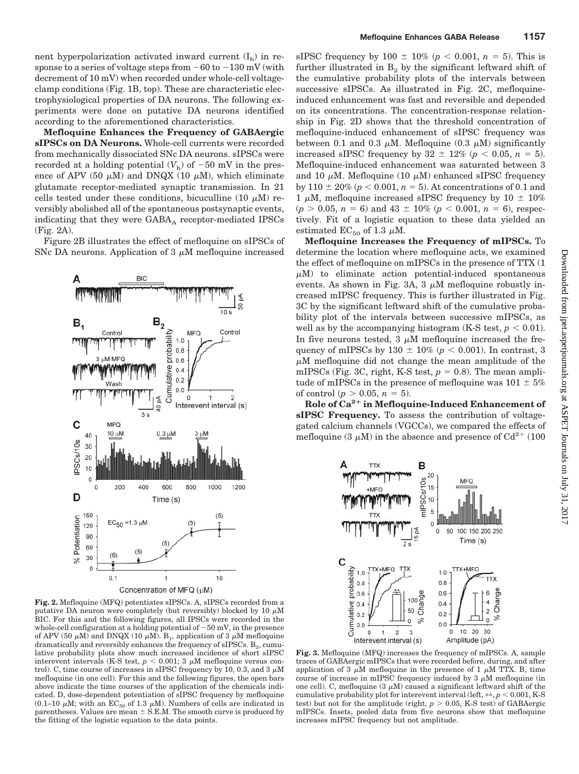nent hyperpolarization activated inward current  $(I_h)$  in response to a series of voltage steps from  $-60$  to  $-130$  mV (with decrement of 10 mV) when recorded under whole-cell voltageclamp conditions (Fig. 1B, top). These are characteristic electrophysiological properties of DA neurons. The following experiments were done on putative DA neurons identified according to the aforementioned characteristics.

**Mefloquine Enhances the Frequency of GABAergic sIPSCs on DA Neurons.** Whole-cell currents were recorded from mechanically dissociated SNc DA neurons. sIPSCs were recorded at a holding potential  $(V<sub>h</sub>)$  of  $-50$  mV in the presence of APV (50  $\mu$ M) and DNQX (10  $\mu$ M), which eliminate glutamate receptor-mediated synaptic transmission. In 21 cells tested under these conditions, bicuculline  $(10 \mu M)$  reversibly abolished all of the spontaneous postsynaptic events, indicating that they were  $GABA_A$  receptor-mediated IPSCs (Fig. 2A).

Figure 2B illustrates the effect of mefloquine on sIPSCs of SNc DA neurons. Application of  $3 \mu$ M mefloquine increased



**Fig. 2.** Mefloquine (MFQ) potentiates sIPSCs. A, sIPSCs recorded from a putative DA neuron were completely (but reversibly) blocked by  $10 \mu M$ BIC. For this and the following figures, all IPSCs were recorded in the whole-cell configuration at a holding potential of  $-50$  mV, in the presence of APV (50  $\mu$ M) and DNQX (10  $\mu$ M). B<sub>1</sub>, application of 3  $\mu$ M mefloquine dramatically and reversibly enhances the frequency of sIPSCs.  $B_2$ , cumulative probability plots show much increased incidence of short sIPSC interevent intervals (K-S test,  $p < 0.001$ ; 3  $\mu$ M mefloquine versus control). C, time course of increases in sIPSC frequency by 10, 0.3, and  $3 \mu M$ mefloquine (in one cell). For this and the following figures, the open bars above indicate the time courses of the application of the chemicals indicated. D, dose-dependent potentiation of sIPSC frequency by mefloquine (0.1–10  $\mu$ M; with an EC<sub>50</sub> of 1.3  $\mu$ M). Numbers of cells are indicated in parentheses. Values are mean  $\pm$  S.E.M. The smooth curve is produced by the fitting of the logistic equation to the data points.

sIPSC frequency by 100  $\pm$  10% ( $p < 0.001$ ,  $n = 5$ ). This is further illustrated in  $B_2$  by the significant leftward shift of the cumulative probability plots of the intervals between successive sIPSCs. As illustrated in Fig. 2C, mefloquineinduced enhancement was fast and reversible and depended on its concentrations. The concentration-response relationship in Fig. 2D shows that the threshold concentration of mefloquine-induced enhancement of sIPSC frequency was between 0.1 and 0.3  $\mu$ M. Mefloquine (0.3  $\mu$ M) significantly increased sIPSC frequency by  $32 \pm 12\%$  ( $p < 0.05$ ,  $n = 5$ ). Mefloquine-induced enhancement was saturated between 3 and 10  $\mu$ M. Mefloquine (10  $\mu$ M) enhanced sIPSC frequency by 110  $\pm$  20% ( $p < 0.001$ ,  $n = 5$ ). At concentrations of 0.1 and 1  $\mu$ M, mefloquine increased sIPSC frequency by 10  $\pm$  10%  $(p > 0.05, n = 6)$  and  $43 \pm 10\%$   $(p < 0.001, n = 6)$ , respectively. Fit of a logistic equation to these data yielded an estimated  $EC_{50}$  of 1.3  $\mu$ M.

**Mefloquine Increases the Frequency of mIPSCs.** To determine the location where mefloquine acts, we examined the effect of mefloquine on mIPSCs in the presence of TTX (1  $\mu$ M) to eliminate action potential-induced spontaneous events. As shown in Fig. 3A, 3  $\mu$ M mefloquine robustly increased mIPSC frequency. This is further illustrated in Fig. 3C by the significant leftward shift of the cumulative probability plot of the intervals between successive mIPSCs, as well as by the accompanying histogram (K-S test,  $p < 0.01$ ). In five neurons tested,  $3 \mu M$  mefloquine increased the frequency of mIPSCs by 130  $\pm$  10% ( $p < 0.001$ ). In contrast, 3  $\mu$ M mefloquine did not change the mean amplitude of the mIPSCs (Fig. 3C, right, K-S test,  $p = 0.8$ ). The mean amplitude of mIPSCs in the presence of mefloquine was  $101 \pm 5\%$ of control ( $p > 0.05$ ,  $n = 5$ ).

**Role of Ca2 in Mefloquine-Induced Enhancement of sIPSC Frequency.** To assess the contribution of voltagegated calcium channels (VGCCs), we compared the effects of mefloquine (3  $\mu$ M) in the absence and presence of Cd<sup>2+</sup> (100



**Fig. 3.** Mefloquine (MFQ) increases the frequency of mIPSCs. A, sample traces of GABAergic mIPSCs that were recorded before, during, and after application of 3  $\mu$ M mefloquine in the presence of 1  $\mu$ M TTX. B, time course of increase in mIPSC frequency induced by  $3 \mu$ M mefloquine (in one cell). C, mefloquine  $(3 \mu M)$  caused a significant leftward shift of the cumulative probability plot for interevent interval (left,  $**$ ,  $p < 0.001$ , K-S test) but not for the amplitude (right,  $p > 0.05$ , K-S test) of GABAergic mIPSCs. Insets, pooled data from five neurons show that mefloquine increases mIPSC frequency but not amplitude.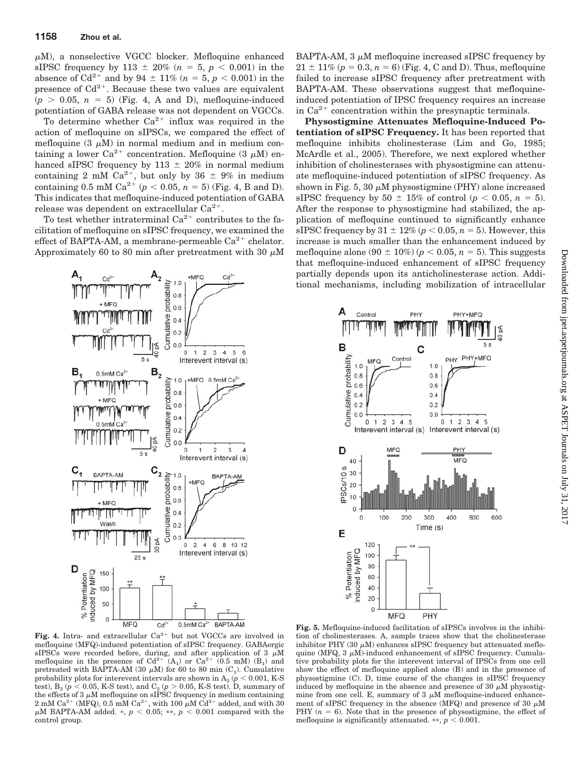$\mu$ M), a nonselective VGCC blocker. Mefloquine enhanced sIPSC frequency by 113  $\pm$  20% (*n* = 5, *p* < 0.001) in the absence of  $Cd^{2+}$  and by 94  $\pm$  11% ( $n = 5$ ,  $p < 0.001$ ) in the presence of  $Cd^{2+}$ . Because these two values are equivalent  $(p > 0.05, n = 5)$  (Fig. 4, A and D), mefloquine-induced potentiation of GABA release was not dependent on VGCCs.

To determine whether  $Ca^{2+}$  influx was required in the action of mefloquine on sIPSCs, we compared the effect of mefloquine  $(3 \mu M)$  in normal medium and in medium containing a lower Ca<sup>2+</sup> concentration. Mefloquine  $(3 \mu M)$  enhanced sIPSC frequency by  $113 \pm 20\%$  in normal medium containing 2 mM Ca<sup>2+</sup>, but only by 36  $\pm$  9% in medium containing 0.5 mM Ca<sup>2+</sup> ( $p$  < 0.05,  $n = 5$ ) (Fig. 4, B and D). This indicates that mefloquine-induced potentiation of GABA release was dependent on extracellular  $Ca^{2+}$ .

To test whether intraterminal  $Ca^{2+}$  contributes to the facilitation of mefloquine on sIPSC frequency, we examined the effect of BAPTA-AM, a membrane-permeable  $Ca^{2+}$  chelator. Approximately 60 to 80 min after pretreatment with 30  $\mu$ M



 $BAPTA$ -AM, 3  $\mu$ M mefloquine increased sIPSC frequency by  $21 \pm 11\%$  ( $p = 0.3$ ,  $n = 6$ ) (Fig. 4, C and D). Thus, mefloquine failed to increase sIPSC frequency after pretreatment with BAPTA-AM. These observations suggest that mefloquineinduced potentiation of IPSC frequency requires an increase in  $Ca^{2+}$  concentration within the presynaptic terminals.

**Physostigmine Attenuates Mefloquine-Induced Potentiation of sIPSC Frequency.** It has been reported that mefloquine inhibits cholinesterase (Lim and Go, 1985; McArdle et al., 2005). Therefore, we next explored whether inhibition of cholinesterases with physostigmine can attenuate mefloquine-induced potentiation of sIPSC frequency. As shown in Fig. 5, 30  $\mu$ M physostigmine (PHY) alone increased sIPSC frequency by  $50 \pm 15\%$  of control ( $p < 0.05$ ,  $n = 5$ ). After the response to physostigmine had stabilized, the application of mefloquine continued to significantly enhance sIPSC frequency by  $31 \pm 12\%$  ( $p < 0.05$ ,  $n = 5$ ). However, this increase is much smaller than the enhancement induced by mefloquine alone (90  $\pm$  10%) ( $p < 0.05$ ,  $n = 5$ ). This suggests that mefloquine-induced enhancement of sIPSC frequency partially depends upon its anticholinesterase action. Additional mechanisms, including mobilization of intracellular



**Fig. 4.** Intra- and extracellular  $Ca^{2+}$  but not VGCCs are involved in mefloquine (MFQ)-induced potentiation of sIPSC frequency. GABAergic sIPSCs were recorded before, during, and after application of 3  $\mu$ M<br>mefloquine in the presence of Cd<sup>2+</sup> (A<sub>1</sub>) or Ca<sup>2+</sup> (0.5 mM) (B<sub>1</sub>) and pretreated with BAPTA-AM (30  $\mu$ M) for 60 to 80 min (C<sub>1</sub>). Cumulative probability plots for interevent intervals are shown in  $A_2$  ( $p < 0.001$ , K-S) test),  $B_2$  (*p* < 0.05, K-S test), and  $C_2$  (*p* > 0.05, K-S test). D, summary of the effects of 3  $\mu$ M mefloquine on sIPSC frequency in medium containing 2 mM Ca<sup>2+</sup> (MFQ), 0.5 mM Ca<sup>2+</sup>, with 100  $\mu$ M Cd<sup>2+</sup> added, and with 30  $\mu$ M BAPTA-AM added. \*,  $p < 0.05$ ; \*\*,  $p < 0.001$  compared with the control group.

**Fig. 5.** Mefloquine-induced facilitation of sIPSCs involves in the inhibition of cholinesterases. A, sample traces show that the cholinesterase inhibitor PHY (30  $\mu$ M) enhances sIPSC frequency but attenuated mefloquine (MFQ,  $3 \mu$ M)-induced enhancement of sIPSC frequency. Cumulative probability plots for the interevent interval of IPSCs from one cell show the effect of mefloquine applied alone (B) and in the presence of physostigmine (C). D, time course of the changes in sIPSC frequency induced by mefloquine in the absence and presence of 30  $\mu$ M physostigmine from one cell. E, summary of  $3 \mu M$  mefloquine-induced enhancement of sIPSC frequency in the absence (MFQ) and presence of 30  $\mu$ M PHY  $(n = 6)$ . Note that in the presence of physostigmine, the effect of mefloquine is significantly attenuated.  $**$ ,  $p < 0.001$ .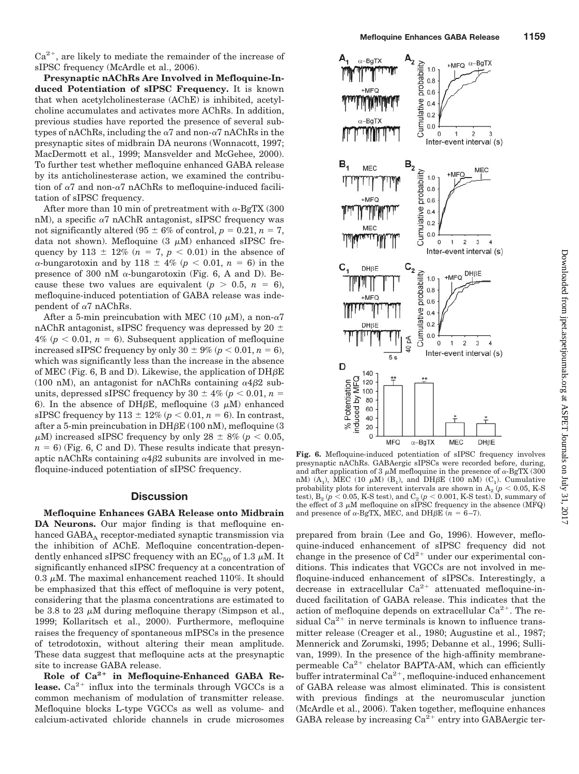$Ca^{2+}$ , are likely to mediate the remainder of the increase of sIPSC frequency (McArdle et al., 2006).

**Presynaptic nAChRs Are Involved in Mefloquine-Induced Potentiation of sIPSC Frequency.** It is known that when acetylcholinesterase (AChE) is inhibited, acetylcholine accumulates and activates more AChRs. In addition, previous studies have reported the presence of several subtypes of nAChRs, including the  $\alpha$ 7 and non- $\alpha$ 7 nAChRs in the presynaptic sites of midbrain DA neurons (Wonnacott, 1997; MacDermott et al., 1999; Mansvelder and McGehee, 2000). To further test whether mefloquine enhanced GABA release by its anticholinesterase action, we examined the contribution of  $\alpha$ 7 and non- $\alpha$ 7 nAChRs to mefloquine-induced facilitation of sIPSC frequency.

After more than 10 min of pretreatment with  $\alpha$ -BgTX (300) nM), a specific  $\alpha$ 7 nAChR antagonist, sIPSC frequency was not significantly altered (95  $\pm$  6% of control,  $p = 0.21$ ,  $n = 7$ , data not shown). Mefloquine  $(3 \mu M)$  enhanced sIPSC frequency by 113  $\pm$  12% (*n* = 7, *p* < 0.01) in the absence of  $\alpha$ -bungarotoxin and by 118  $\pm$  4% ( $p < 0.01$ ,  $n = 6$ ) in the presence of 300 nM  $\alpha$ -bungarotoxin (Fig. 6, A and D). Because these two values are equivalent ( $p > 0.5$ ,  $n = 6$ ), mefloquine-induced potentiation of GABA release was independent of  $\alpha$ 7 nAChRs.

After a 5-min preincubation with MEC (10  $\mu$ M), a non- $\alpha$ 7 nAChR antagonist, sIPSC frequency was depressed by 20  $\pm$  $4\%$  ( $p < 0.01$ ,  $n = 6$ ). Subsequent application of mefloquine increased sIPSC frequency by only  $30 \pm 9\%$  ( $p < 0.01$ ,  $n = 6$ ), which was significantly less than the increase in the absence of MEC (Fig. 6, B and D). Likewise, the application of  $DH\beta E$ (100 nM), an antagonist for nAChRs containing  $\alpha$ 4 $\beta$ 2 subunits, depressed sIPSC frequency by  $30 \pm 4\%$  ( $p < 0.01$ ,  $n =$ 6). In the absence of DH $\beta$ E, mefloquine (3  $\mu$ M) enhanced sIPSC frequency by  $113 \pm 12\%$  ( $p < 0.01$ ,  $n = 6$ ). In contrast, after a 5-min preincubation in  $DH\beta E$  (100 nM), mefloquine (3  $\mu$ M) increased sIPSC frequency by only 28  $\pm$  8% ( $p < 0.05,$  $n = 6$ ) (Fig. 6, C and D). These results indicate that presynaptic nAChRs containing  $\alpha$ 4 $\beta$ 2 subunits are involved in mefloquine-induced potentiation of sIPSC frequency.

# **Discussion**

**Mefloquine Enhances GABA Release onto Midbrain DA Neurons.** Our major finding is that mefloquine enhanced GABA<sub>A</sub> receptor-mediated synaptic transmission via the inhibition of AChE. Mefloquine concentration-dependently enhanced sIPSC frequency with an  $EC_{50}$  of 1.3  $\mu$ M. It significantly enhanced sIPSC frequency at a concentration of 0.3  $\mu$ M. The maximal enhancement reached 110%. It should be emphasized that this effect of mefloquine is very potent, considering that the plasma concentrations are estimated to be 3.8 to 23  $\mu$ M during mefloquine therapy (Simpson et al., 1999; Kollaritsch et al., 2000). Furthermore, mefloquine raises the frequency of spontaneous mIPSCs in the presence of tetrodotoxin, without altering their mean amplitude. These data suggest that mefloquine acts at the presynaptic site to increase GABA release.

Role of Ca<sup>2+</sup> in Mefloquine-Enhanced GABA Re**lease.**  $Ca^{2+}$  influx into the terminals through VGCCs is a common mechanism of modulation of transmitter release. Mefloquine blocks L-type VGCCs as well as volume- and calcium-activated chloride channels in crude microsomes



**Fig. 6.** Mefloquine-induced potentiation of sIPSC frequency involves presynaptic nAChRs. GABAergic sIPSCs were recorded before, during, and after application of 3  $\mu$ M mefloquine in the presence of  $\alpha$ -BgTX (300) nM)  $(A_1)$ , MEC (10  $\mu$ M)  $(B_1)$ , and DH $\beta$ E (100 nM)  $(C_1)$ . Cumulative probability plots for intervent intervals are shown in  $A_2$  ( $p < 0.05$ , K-S test),  $B_2$  ( $p < 0.05$ , K-S test), and  $C_2$  ( $p < 0.001$ , K-S test). D, summary of the effect of 3  $\mu$ M mefloquine on sIPSC frequency in the absence (MFQ) and presence of  $\alpha$ -BgTX, MEC, and DH $\beta$ E ( $n = 6-7$ ).

prepared from brain (Lee and Go, 1996). However, mefloquine-induced enhancement of sIPSC frequency did not change in the presence of  $Cd^{2+}$  under our experimental conditions. This indicates that VGCCs are not involved in mefloquine-induced enhancement of sIPSCs. Interestingly, a decrease in extracellular  $Ca^{2+}$  attenuated mefloquine-induced facilitation of GABA release. This indicates that the action of mefloquine depends on extracellular  $Ca^{2+}$ . The residual  $Ca^{2+}$  in nerve terminals is known to influence transmitter release (Creager et al., 1980; Augustine et al., 1987; Mennerick and Zorumski, 1995; Debanne et al., 1996; Sullivan, 1999). In the presence of the high-affinity membranepermeable  $Ca^{2+}$  chelator BAPTA-AM, which can efficiently buffer intraterminal  $Ca^{2+}$ , mefloquine-induced enhancement of GABA release was almost eliminated. This is consistent with previous findings at the neuromuscular junction (McArdle et al., 2006). Taken together, mefloquine enhances GABA release by increasing  $Ca^{2+}$  entry into GABAergic ter